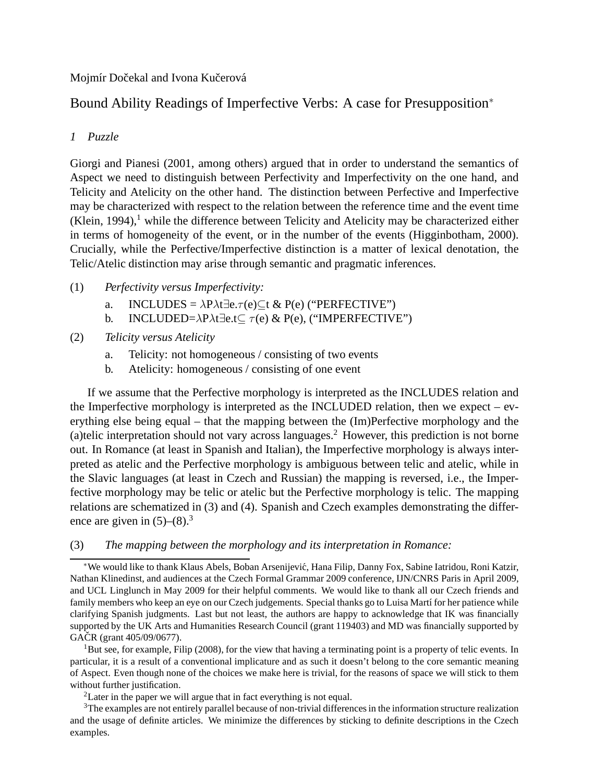### Mojmír Dočekal and Ivona Kučerová

# Bound Ability Readings of Imperfective Verbs: A case for Presupposition<sup>∗</sup>

# *1 Puzzle*

Giorgi and Pianesi (2001, among others) argued that in order to understand the semantics of Aspect we need to distinguish between Perfectivity and Imperfectivity on the one hand, and Telicity and Atelicity on the other hand. The distinction between Perfective and Imperfective may be characterized with respect to the relation between the reference time and the event time  $(Klein, 1994)$ ,<sup>1</sup> while the difference between Telicity and Atelicity may be characterized either in terms of homogeneity of the event, or in the number of the events (Higginbotham, 2000). Crucially, while the Perfective/Imperfective distinction is a matter of lexical denotation, the Telic/Atelic distinction may arise through semantic and pragmatic inferences.

### (1) *Perfectivity versus Imperfectivity:*

- a. INCLUDES =  $\lambda P \lambda t \exists e.\tau(e) \subseteq t \& P(e)$  ("PERFECTIVE")
- b. INCLUDED= $\lambda P \lambda t \exists e.t \subseteq \tau(e) \& P(e)$ , ("IMPERFECTIVE")
- (2) *Telicity versus Atelicity*
	- a. Telicity: not homogeneous / consisting of two events
	- b. Atelicity: homogeneous / consisting of one event

If we assume that the Perfective morphology is interpreted as the INCLUDES relation and the Imperfective morphology is interpreted as the INCLUDED relation, then we expect – everything else being equal – that the mapping between the (Im)Perfective morphology and the (a)telic interpretation should not vary across languages.<sup>2</sup> However, this prediction is not borne out. In Romance (at least in Spanish and Italian), the Imperfective morphology is always interpreted as atelic and the Perfective morphology is ambiguous between telic and atelic, while in the Slavic languages (at least in Czech and Russian) the mapping is reversed, i.e., the Imperfective morphology may be telic or atelic but the Perfective morphology is telic. The mapping relations are schematized in (3) and (4). Spanish and Czech examples demonstrating the difference are given in  $(5)-(8)^3$ 

#### (3) *The mapping between the morphology and its interpretation in Romance:*

 $1<sup>1</sup>$ But see, for example, Filip (2008), for the view that having a terminating point is a property of telic events. In particular, it is a result of a conventional implicature and as such it doesn't belong to the core semantic meaning of Aspect. Even though none of the choices we make here is trivial, for the reasons of space we will stick to them without further justification.

<sup>2</sup>Later in the paper we will argue that in fact everything is not equal.

<sup>3</sup>The examples are not entirely parallel because of non-trivial differences in the information structure realization and the usage of definite articles. We minimize the differences by sticking to definite descriptions in the Czech examples.

<sup>∗</sup>We would like to thank Klaus Abels, Boban Arsenijevi´c, Hana Filip, Danny Fox, Sabine Iatridou, Roni Katzir, Nathan Klinedinst, and audiences at the Czech Formal Grammar 2009 conference, IJN/CNRS Paris in April 2009, and UCL Linglunch in May 2009 for their helpful comments. We would like to thank all our Czech friends and family members who keep an eye on our Czech judgements. Special thanks go to Luisa Martí for her patience while clarifying Spanish judgments. Last but not least, the authors are happy to acknowledge that IK was financially supported by the UK Arts and Humanities Research Council (grant 119403) and MD was financially supported by  $GACR$  (grant  $405/09/0677$ ).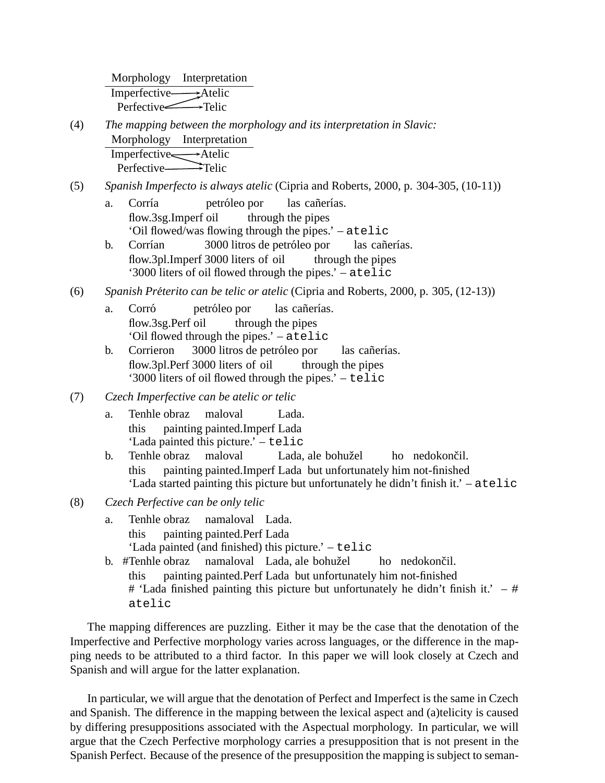Morphology Interpretation Imperfective Atelic Perfective Telic

- (4) *The mapping between the morphology and its interpretation in Slavic:* Morphology Interpretation Imperfective Atelic Perfective Telic
- (5) *Spanish Imperfecto is always atelic* (Cipria and Roberts, 2000, p. 304-305, (10-11))
	- a. Corría flow.3sg.Imperf oil petróleo por through the pipes las cañerías. 'Oil flowed/was flowing through the pipes.' – atelic
	- b. Corrían flow.3pl.Imperf 3000 liters of oil 3000 litros de petróleo por through the pipes las cañerías. '3000 liters of oil flowed through the pipes.' – atelic
- (6) *Spanish Preterito can be telic or atelic ´* (Cipria and Roberts, 2000, p. 305, (12-13))
	- a. Corró flow.3sg.Perf oil petróleo por through the pipes las cañerías. 'Oil flowed through the pipes.' – atelic
	- b. Corrieron flow.3pl.Perf 3000 liters of oil 3000 litros de petróleo por through the pipes las cañerías. '3000 liters of oil flowed through the pipes.' – telic
- (7) *Czech Imperfective can be atelic or telic*
	- a. Tenhle obraz this painting painted.Imperf Lada maloval Lada. 'Lada painted this picture.' – telic
	- b. Tenhle obraz this painting painted. Imperf Lada but unfortunately him not-finished maloval Lada, ale bohužel ho nedokončil. 'Lada started painting this picture but unfortunately he didn't finish it.' – atelic
- (8) *Czech Perfective can be only telic*
	- a. Tenhle obraz this painting painted.Perf Lada namaloval Lada. 'Lada painted (and finished) this picture.' – telic
	- b. #Tenhle obraz this painting painted.Perf Lada but unfortunately him not-finished namaloval Lada, ale bohužel ho nedokončil. # 'Lada finished painting this picture but unfortunately he didn't finish it.'  $-$  # atelic

The mapping differences are puzzling. Either it may be the case that the denotation of the Imperfective and Perfective morphology varies across languages, or the difference in the mapping needs to be attributed to a third factor. In this paper we will look closely at Czech and Spanish and will argue for the latter explanation.

In particular, we will argue that the denotation of Perfect and Imperfect is the same in Czech and Spanish. The difference in the mapping between the lexical aspect and (a)telicity is caused by differing presuppositions associated with the Aspectual morphology. In particular, we will argue that the Czech Perfective morphology carries a presupposition that is not present in the Spanish Perfect. Because of the presence of the presupposition the mapping is subject to seman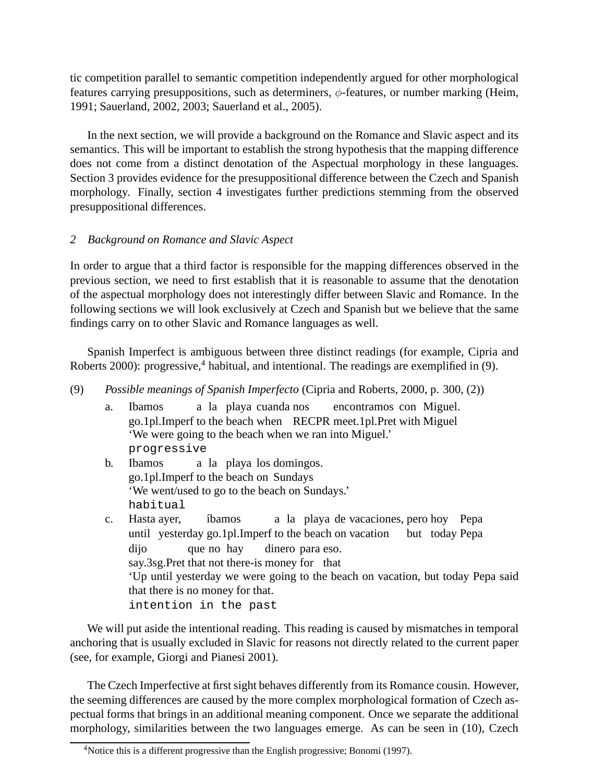tic competition parallel to semantic competition independently argued for other morphological features carrying presuppositions, such as determiners,  $\phi$ -features, or number marking (Heim, 1991; Sauerland, 2002, 2003; Sauerland et al., 2005).

In the next section, we will provide a background on the Romance and Slavic aspect and its semantics. This will be important to establish the strong hypothesis that the mapping difference does not come from a distinct denotation of the Aspectual morphology in these languages. Section 3 provides evidence for the presuppositional difference between the Czech and Spanish morphology. Finally, section 4 investigates further predictions stemming from the observed presuppositional differences.

# *2 Background on Romance and Slavic Aspect*

In order to argue that a third factor is responsible for the mapping differences observed in the previous section, we need to first establish that it is reasonable to assume that the denotation of the aspectual morphology does not interestingly differ between Slavic and Romance. In the following sections we will look exclusively at Czech and Spanish but we believe that the same findings carry on to other Slavic and Romance languages as well.

Spanish Imperfect is ambiguous between three distinct readings (for example, Cipria and Roberts 2000): progressive,<sup>4</sup> habitual, and intentional. The readings are exemplified in (9).

- (9) *Possible meanings of Spanish Imperfecto* (Cipria and Roberts, 2000, p. 300, (2))
	- a. Ibamos go.1pl.Imperf to the beach when RECPR meet.1pl.Pret with Miguel a la playa cuanda nos encontramos con Miguel. 'We were going to the beach when we ran into Miguel.' progressive
	- b. Ibamos go.1pl.Imperf to the beach on Sundays a la playa los domingos. 'We went/used to go to the beach on Sundays.' habitual
	- c. Hasta ayer, until yesterday go.1pl.Imperf to the beach on vacation ´ıbamos a la playa de vacaciones, pero hoy Pepa but today Pepa dijo say.3sg.Pret that not there-is money for that que no hay dinero para eso. 'Up until yesterday we were going to the beach on vacation, but today Pepa said that there is no money for that. intention in the past

We will put aside the intentional reading. This reading is caused by mismatches in temporal anchoring that is usually excluded in Slavic for reasons not directly related to the current paper (see, for example, Giorgi and Pianesi 2001).

The Czech Imperfective at first sight behaves differently from its Romance cousin. However, the seeming differences are caused by the more complex morphological formation of Czech aspectual forms that brings in an additional meaning component. Once we separate the additional morphology, similarities between the two languages emerge. As can be seen in (10), Czech

<sup>&</sup>lt;sup>4</sup>Notice this is a different progressive than the English progressive; Bonomi (1997).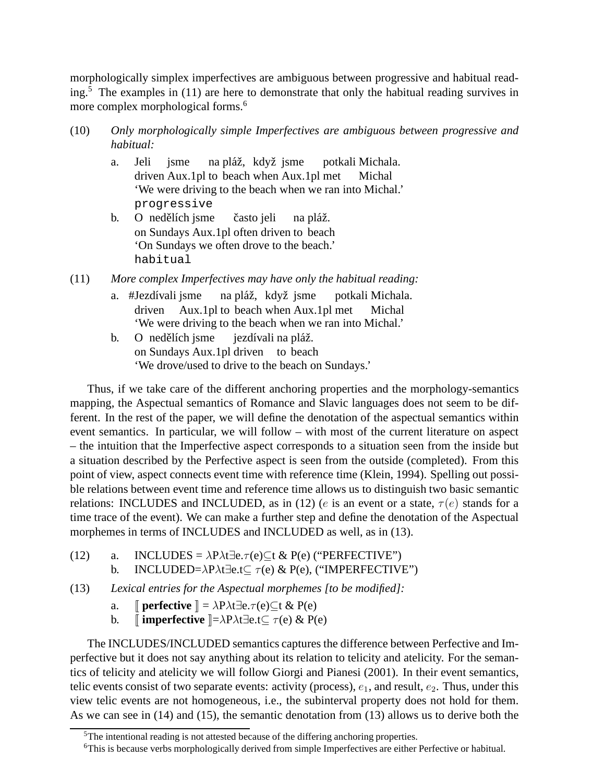morphologically simplex imperfectives are ambiguous between progressive and habitual reading.<sup>5</sup> The examples in (11) are here to demonstrate that only the habitual reading survives in more complex morphological forms.<sup>6</sup>

- (10) *Only morphologically simple Imperfectives are ambiguous between progressive and habitual:*
	- a. Jeli driven Aux.1pl to beach when Aux.1pl met jsme na pláž, když jsme potkali Michala. Michal 'We were driving to the beach when we ran into Michal.' progressive b. on Sundays Aux.1pl often driven to beach nedělích jsme často jeli na pláž.
	- 'On Sundays we often drove to the beach.' habitual
- (11) *More complex Imperfectives may have only the habitual reading:*
	- a. #Jezdívali jsme driven Aux.1pl to beach when Aux.1pl met na pláž, když jsme potkali Michala. Michal 'We were driving to the beach when we ran into Michal.'
	- b. on Sundays Aux.1pl driven to beach nedělích jsme jezdívali na pláž. 'We drove/used to drive to the beach on Sundays.'

Thus, if we take care of the different anchoring properties and the morphology-semantics mapping, the Aspectual semantics of Romance and Slavic languages does not seem to be different. In the rest of the paper, we will define the denotation of the aspectual semantics within event semantics. In particular, we will follow – with most of the current literature on aspect – the intuition that the Imperfective aspect corresponds to a situation seen from the inside but a situation described by the Perfective aspect is seen from the outside (completed). From this point of view, aspect connects event time with reference time (Klein, 1994). Spelling out possible relations between event time and reference time allows us to distinguish two basic semantic relations: INCLUDES and INCLUDED, as in (12) (e is an event or a state,  $\tau(e)$  stands for a time trace of the event). We can make a further step and define the denotation of the Aspectual morphemes in terms of INCLUDES and INCLUDED as well, as in (13).

- (12) a. INCLUDES =  $\lambda P \lambda t \exists e.\tau(e) \subset t \& P(e)$  ("PERFECTIVE")
	- b. INCLUDED= $\lambda P \lambda t \exists e.t \subseteq \tau(e) \& P(e),$  ("IMPERFECTIVE")
- (13) *Lexical entries for the Aspectual morphemes [to be modified]:*
	- a.  $\mathbb{I}$  **perfective**  $\mathbb{I} = \lambda P \lambda t \exists e. \tau(e) \subseteq t \& P(e)$
	- b.  $\parallel$  **imperfective**  $\parallel = \lambda P \lambda t \exists$ e.t⊂  $\tau$ (e) & P(e)

The INCLUDES/INCLUDED semantics captures the difference between Perfective and Imperfective but it does not say anything about its relation to telicity and atelicity. For the semantics of telicity and atelicity we will follow Giorgi and Pianesi (2001). In their event semantics, telic events consist of two separate events: activity (process),  $e_1$ , and result,  $e_2$ . Thus, under this view telic events are not homogeneous, i.e., the subinterval property does not hold for them. As we can see in (14) and (15), the semantic denotation from (13) allows us to derive both the

 $5$ The intentional reading is not attested because of the differing anchoring properties.

<sup>6</sup>This is because verbs morphologically derived from simple Imperfectives are either Perfective or habitual.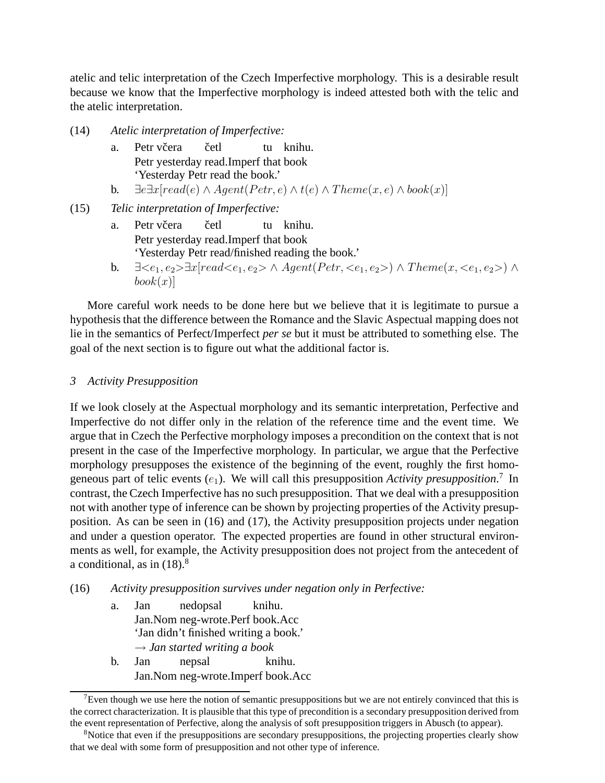atelic and telic interpretation of the Czech Imperfective morphology. This is a desirable result because we know that the Imperfective morphology is indeed attested both with the telic and the atelic interpretation.

(14) *Atelic interpretation of Imperfective:*

- a. Petr včera Petr yesterday read.Imperf that book četl tu knihu. 'Yesterday Petr read the book.'
- b.  $\exists e \exists x [read(e) \land Agent(Petr, e) \land t(e) \land Theme(x, e) \land book(x)]$
- (15) *Telic interpretation of Imperfective:*
	- a. Petr včera Petr yesterday read.Imperf that book četl tu knihu. 'Yesterday Petr read/finished reading the book.'
	- b.  $\exists \langle e_1, e_2 \rangle \exists x [read \langle e_1, e_2 \rangle \land Agent(Petr, \langle e_1, e_2 \rangle) \land Theme(x, \langle e_1, e_2 \rangle) \land$  $book(x)$

More careful work needs to be done here but we believe that it is legitimate to pursue a hypothesis that the difference between the Romance and the Slavic Aspectual mapping does not lie in the semantics of Perfect/Imperfect *per se* but it must be attributed to something else. The goal of the next section is to figure out what the additional factor is.

#### *3 Activity Presupposition*

If we look closely at the Aspectual morphology and its semantic interpretation, Perfective and Imperfective do not differ only in the relation of the reference time and the event time. We argue that in Czech the Perfective morphology imposes a precondition on the context that is not present in the case of the Imperfective morphology. In particular, we argue that the Perfective morphology presupposes the existence of the beginning of the event, roughly the first homogeneous part of telic events  $(e_1)$ . We will call this presupposition Activity presupposition.<sup>7</sup> In contrast, the Czech Imperfective has no such presupposition. That we deal with a presupposition not with another type of inference can be shown by projecting properties of the Activity presupposition. As can be seen in (16) and (17), the Activity presupposition projects under negation and under a question operator. The expected properties are found in other structural environments as well, for example, the Activity presupposition does not project from the antecedent of a conditional, as in  $(18)$ .<sup>8</sup>

- (16) *Activity presupposition survives under negation only in Perfective:*
	- a. Jan Jan.Nom neg-wrote.Perf book.Acc nedopsal knihu. 'Jan didn't finished writing a book.' → *Jan started writing a book* b. Jan Jan.Nom neg-wrote.Imperf book.Acc nepsal knihu.

<sup>&</sup>lt;sup>7</sup>Even though we use here the notion of semantic presuppositions but we are not entirely convinced that this is the correct characterization. It is plausible that this type of precondition is a secondary presupposition derived from the event representation of Perfective, along the analysis of soft presupposition triggers in Abusch (to appear).

<sup>&</sup>lt;sup>8</sup>Notice that even if the presuppositions are secondary presuppositions, the projecting properties clearly show that we deal with some form of presupposition and not other type of inference.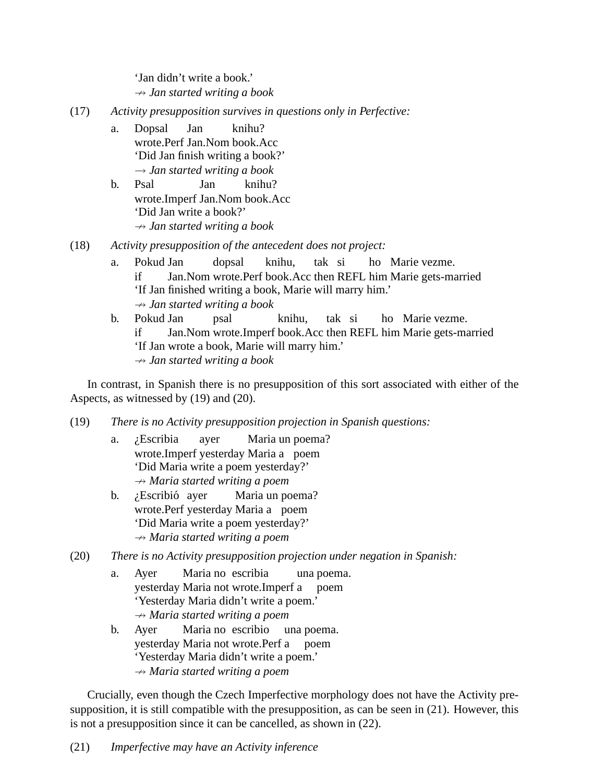'Jan didn't write a book.' 9 *Jan started writing a book*

- (17) *Activity presupposition survives in questions only in Perfective:*
	- a. Dopsal wrote.Perf Jan.Nom book.Acc Jan knihu? 'Did Jan finish writing a book?' → *Jan started writing a book*
	- b. Psal wrote.Imperf Jan.Nom book.Acc Jan knihu? 'Did Jan write a book?' 9 *Jan started writing a book*
- (18) *Activity presupposition of the antecedent does not project:*
	- a. Pokud Jan if Jan.Nom wrote.Perf book.Acc then REFL him Marie gets-married dopsal knihu, tak si ho Marie vezme. 'If Jan finished writing a book, Marie will marry him.'  $\rightarrow$  *Jan started writing a book*
	- b. Pokud Jan if Jan.Nom wrote.Imperf book.Acc then REFL him Marie gets-married psal knihu, tak si ho Marie vezme. 'If Jan wrote a book, Marie will marry him.' 9 *Jan started writing a book*

In contrast, in Spanish there is no presupposition of this sort associated with either of the Aspects, as witnessed by (19) and (20).

- (19) *There is no Activity presupposition projection in Spanish questions:*
	- a. ¿Escribia wrote.Imperf yesterday Maria a poem ayer Maria un poema? 'Did Maria write a poem yesterday?' 9 *Maria started writing a poem*
	- b. *i*Escribió ayer wrote.Perf yesterday Maria a poem Maria un poema? 'Did Maria write a poem yesterday?' 9 *Maria started writing a poem*
- (20) *There is no Activity presupposition projection under negation in Spanish:*
	- a. Ayer yesterday Maria not wrote.Imperf a Maria no escribia una poema. poem 'Yesterday Maria didn't write a poem.' 9 *Maria started writing a poem*
	- b. Ayer yesterday Maria not wrote.Perf a Maria no escribio una poema. poem 'Yesterday Maria didn't write a poem.' 9 *Maria started writing a poem*

Crucially, even though the Czech Imperfective morphology does not have the Activity presupposition, it is still compatible with the presupposition, as can be seen in (21). However, this is not a presupposition since it can be cancelled, as shown in (22).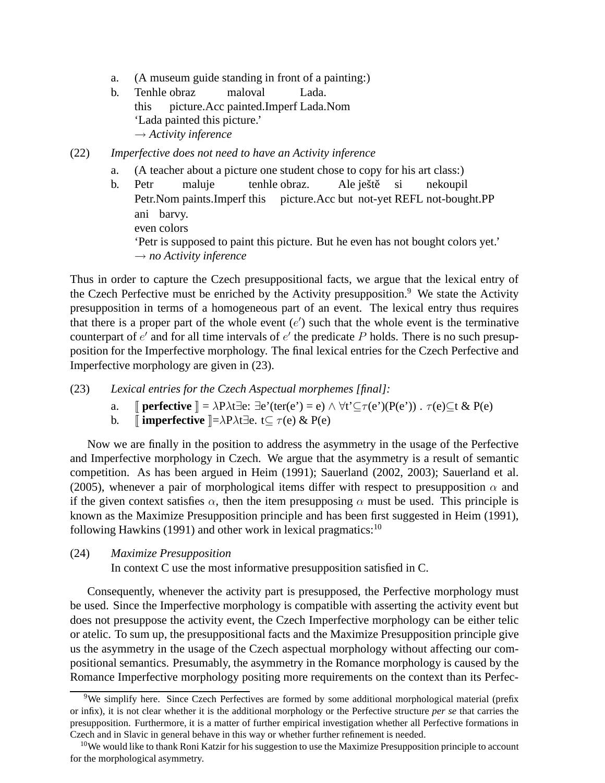- a. (A museum guide standing in front of a painting:)
- b. Tenhle obraz this picture.Acc painted.Imperf Lada.Nom maloval Lada. 'Lada painted this picture.' → *Activity inference*

(22) *Imperfective does not need to have an Activity inference*

- a. (A teacher about a picture one student chose to copy for his art class:)
- b. Petr Petr.Nom paints.Imperf this maluje tenhle obraz. picture.Acc but not-yet REFL not-bought.PP Ale ještě si nekoupil ani barvy. even colors 'Petr is supposed to paint this picture. But he even has not bought colors yet.' → *no Activity inference*

Thus in order to capture the Czech presuppositional facts, we argue that the lexical entry of the Czech Perfective must be enriched by the Activity presupposition.<sup>9</sup> We state the Activity presupposition in terms of a homogeneous part of an event. The lexical entry thus requires that there is a proper part of the whole event  $(e')$  such that the whole event is the terminative counterpart of  $e'$  and for all time intervals of  $e'$  the predicate P holds. There is no such presupposition for the Imperfective morphology. The final lexical entries for the Czech Perfective and Imperfective morphology are given in (23).

- (23) *Lexical entries for the Czech Aspectual morphemes [final]:*
	- a. **perfective**  $\mathbb{I} = \lambda P \lambda t \exists e: \exists e'(ter(e') = e) \land \forall t' \subseteq \tau(e')(P(e'))$ .  $\tau(e) \subseteq t \& P(e)$
	- b.  $\parallel$  **imperfective**  $\parallel = \lambda P \lambda t \exists e. t \subseteq \tau(e) \& P(e)$

Now we are finally in the position to address the asymmetry in the usage of the Perfective and Imperfective morphology in Czech. We argue that the asymmetry is a result of semantic competition. As has been argued in Heim (1991); Sauerland (2002, 2003); Sauerland et al. (2005), whenever a pair of morphological items differ with respect to presupposition  $\alpha$  and if the given context satisfies  $\alpha$ , then the item presupposing  $\alpha$  must be used. This principle is known as the Maximize Presupposition principle and has been first suggested in Heim (1991), following Hawkins (1991) and other work in lexical pragmatics: $10$ 

(24) *Maximize Presupposition*

In context C use the most informative presupposition satisfied in C.

Consequently, whenever the activity part is presupposed, the Perfective morphology must be used. Since the Imperfective morphology is compatible with asserting the activity event but does not presuppose the activity event, the Czech Imperfective morphology can be either telic or atelic. To sum up, the presuppositional facts and the Maximize Presupposition principle give us the asymmetry in the usage of the Czech aspectual morphology without affecting our compositional semantics. Presumably, the asymmetry in the Romance morphology is caused by the Romance Imperfective morphology positing more requirements on the context than its Perfec-

<sup>&</sup>lt;sup>9</sup>We simplify here. Since Czech Perfectives are formed by some additional morphological material (prefix or infix), it is not clear whether it is the additional morphology or the Perfective structure *per se* that carries the presupposition. Furthermore, it is a matter of further empirical investigation whether all Perfective formations in Czech and in Slavic in general behave in this way or whether further refinement is needed.

<sup>&</sup>lt;sup>10</sup>We would like to thank Roni Katzir for his suggestion to use the Maximize Presupposition principle to account for the morphological asymmetry.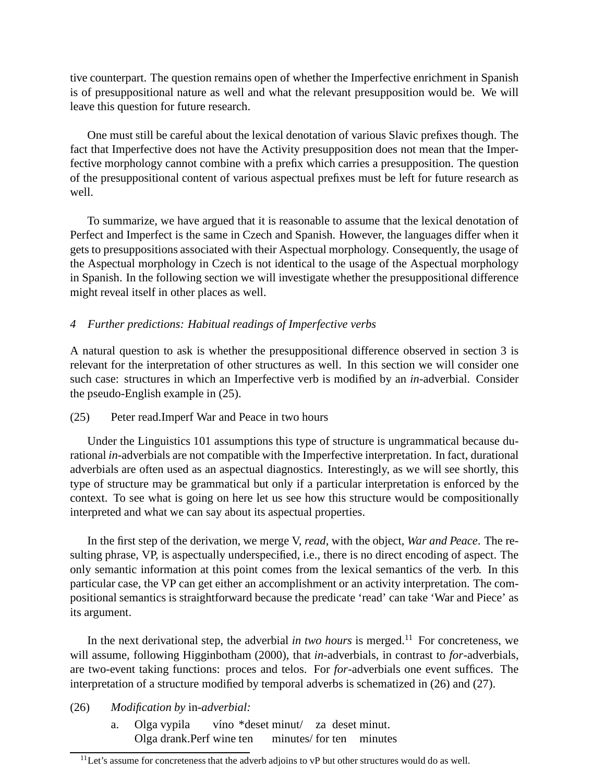tive counterpart. The question remains open of whether the Imperfective enrichment in Spanish is of presuppositional nature as well and what the relevant presupposition would be. We will leave this question for future research.

One must still be careful about the lexical denotation of various Slavic prefixes though. The fact that Imperfective does not have the Activity presupposition does not mean that the Imperfective morphology cannot combine with a prefix which carries a presupposition. The question of the presuppositional content of various aspectual prefixes must be left for future research as well.

To summarize, we have argued that it is reasonable to assume that the lexical denotation of Perfect and Imperfect is the same in Czech and Spanish. However, the languages differ when it gets to presuppositions associated with their Aspectual morphology. Consequently, the usage of the Aspectual morphology in Czech is not identical to the usage of the Aspectual morphology in Spanish. In the following section we will investigate whether the presuppositional difference might reveal itself in other places as well.

# *4 Further predictions: Habitual readings of Imperfective verbs*

A natural question to ask is whether the presuppositional difference observed in section 3 is relevant for the interpretation of other structures as well. In this section we will consider one such case: structures in which an Imperfective verb is modified by an *in*-adverbial. Consider the pseudo-English example in (25).

## (25) Peter read.Imperf War and Peace in two hours

Under the Linguistics 101 assumptions this type of structure is ungrammatical because durational *in*-adverbials are not compatible with the Imperfective interpretation. In fact, durational adverbials are often used as an aspectual diagnostics. Interestingly, as we will see shortly, this type of structure may be grammatical but only if a particular interpretation is enforced by the context. To see what is going on here let us see how this structure would be compositionally interpreted and what we can say about its aspectual properties.

In the first step of the derivation, we merge V, *read*, with the object, *War and Peace*. The resulting phrase, VP, is aspectually underspecified, i.e., there is no direct encoding of aspect. The only semantic information at this point comes from the lexical semantics of the verb. In this particular case, the VP can get either an accomplishment or an activity interpretation. The compositional semantics is straightforward because the predicate 'read' can take 'War and Piece' as its argument.

In the next derivational step, the adverbial *in two hours* is merged.<sup>11</sup> For concreteness, we will assume, following Higginbotham (2000), that *in*-adverbials, in contrast to *for*-adverbials, are two-event taking functions: proces and telos. For *for*-adverbials one event suffices. The interpretation of a structure modified by temporal adverbs is schematized in (26) and (27).

- (26) *Modification by* in*-adverbial:*
	- a. Olga vypila Olga drank.Perf wine ten víno \*deset minut/ za deset minut. minutes/ for ten minutes

 $11$ Let's assume for concreteness that the adverb adjoins to vP but other structures would do as well.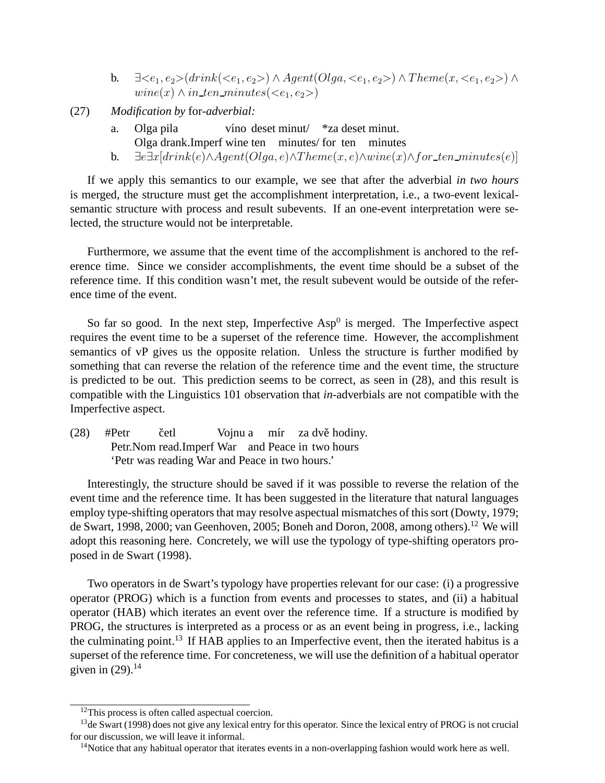- **b.**  $\exists \langle e_1, e_2 \rangle (drink(\langle e_1, e_2 \rangle) \land \text{Agent}(Olqa, \langle e_1, e_2 \rangle) \land \text{Theme}(x, \langle e_1, e_2 \rangle) \land$  $\text{wine}(x) \land \text{in\_ten\_minutes}(\leq e_1, e_2)$
- (27) *Modification by* for*-adverbial:*
	- a. Olga pila Olga drank.Imperf wine ten minutes/ for ten minutes víno deset minut/ \*za deset minut.
	- b.  $\exists e \exists x [drink(e) \land Agent(Olqa, e) \land Theme(x, e) \land wine(x) \land for_ten_minutes(e)]$

If we apply this semantics to our example, we see that after the adverbial *in two hours* is merged, the structure must get the accomplishment interpretation, i.e., a two-event lexicalsemantic structure with process and result subevents. If an one-event interpretation were selected, the structure would not be interpretable.

Furthermore, we assume that the event time of the accomplishment is anchored to the reference time. Since we consider accomplishments, the event time should be a subset of the reference time. If this condition wasn't met, the result subevent would be outside of the reference time of the event.

So far so good. In the next step, Imperfective  $Asp<sup>0</sup>$  is merged. The Imperfective aspect requires the event time to be a superset of the reference time. However, the accomplishment semantics of vP gives us the opposite relation. Unless the structure is further modified by something that can reverse the relation of the reference time and the event time, the structure is predicted to be out. This prediction seems to be correct, as seen in (28), and this result is compatible with the Linguistics 101 observation that *in*-adverbials are not compatible with the Imperfective aspect.

 $(28)$  #Petr Petr. Nom read. Imperf War and Peace in two hours četl Vojnu a mír za dvě hodiny. 'Petr was reading War and Peace in two hours.'

Interestingly, the structure should be saved if it was possible to reverse the relation of the event time and the reference time. It has been suggested in the literature that natural languages employ type-shifting operators that may resolve aspectual mismatches of this sort (Dowty, 1979; de Swart, 1998, 2000; van Geenhoven, 2005; Boneh and Doron, 2008, among others).<sup>12</sup> We will adopt this reasoning here. Concretely, we will use the typology of type-shifting operators proposed in de Swart (1998).

Two operators in de Swart's typology have properties relevant for our case: (i) a progressive operator (PROG) which is a function from events and processes to states, and (ii) a habitual operator (HAB) which iterates an event over the reference time. If a structure is modified by PROG, the structures is interpreted as a process or as an event being in progress, i.e., lacking the culminating point.<sup>13</sup> If HAB applies to an Imperfective event, then the iterated habitus is a superset of the reference time. For concreteness, we will use the definition of a habitual operator given in  $(29)$ .<sup>14</sup>

<sup>&</sup>lt;sup>12</sup>This process is often called aspectual coercion.

<sup>&</sup>lt;sup>13</sup>de Swart (1998) does not give any lexical entry for this operator. Since the lexical entry of PROG is not crucial for our discussion, we will leave it informal.

<sup>&</sup>lt;sup>14</sup>Notice that any habitual operator that iterates events in a non-overlapping fashion would work here as well.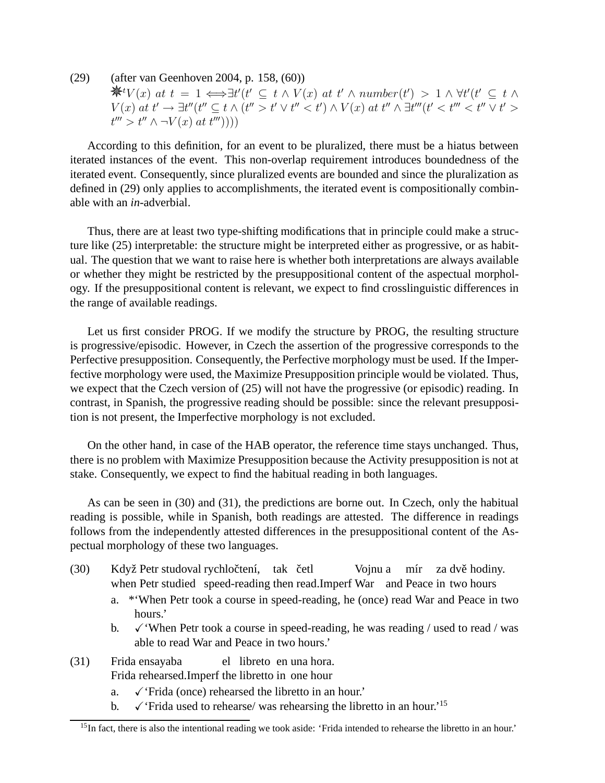(29) (after van Geenhoven 2004, p. 158, (60))  $\mathcal{H}^t V(x)$  at  $t = 1 \Longleftrightarrow \exists t' (t' \subseteq t \land V(x)$  at  $t' \land number(t') > 1 \land \forall t' (t' \subseteq t \land t')$  $V(x)$  at  $t' \to \exists t''$   $(t'' \subseteq t \land (t'' > t' \lor t'' < t') \land V(x)$  at  $t'' \land \exists t'''$   $(t' < t''' < t'' \lor t' > t')$  $t^{\prime\prime\prime} > t^{\prime\prime} \wedge \neg V(x) \text{ } (at \text{ } t^{\prime\prime\prime}))))$ 

According to this definition, for an event to be pluralized, there must be a hiatus between iterated instances of the event. This non-overlap requirement introduces boundedness of the iterated event. Consequently, since pluralized events are bounded and since the pluralization as defined in (29) only applies to accomplishments, the iterated event is compositionally combinable with an *in*-adverbial.

Thus, there are at least two type-shifting modifications that in principle could make a structure like (25) interpretable: the structure might be interpreted either as progressive, or as habitual. The question that we want to raise here is whether both interpretations are always available or whether they might be restricted by the presuppositional content of the aspectual morphology. If the presuppositional content is relevant, we expect to find crosslinguistic differences in the range of available readings.

Let us first consider PROG. If we modify the structure by PROG, the resulting structure is progressive/episodic. However, in Czech the assertion of the progressive corresponds to the Perfective presupposition. Consequently, the Perfective morphology must be used. If the Imperfective morphology were used, the Maximize Presupposition principle would be violated. Thus, we expect that the Czech version of (25) will not have the progressive (or episodic) reading. In contrast, in Spanish, the progressive reading should be possible: since the relevant presupposition is not present, the Imperfective morphology is not excluded.

On the other hand, in case of the HAB operator, the reference time stays unchanged. Thus, there is no problem with Maximize Presupposition because the Activity presupposition is not at stake. Consequently, we expect to find the habitual reading in both languages.

As can be seen in (30) and (31), the predictions are borne out. In Czech, only the habitual reading is possible, while in Spanish, both readings are attested. The difference in readings follows from the independently attested differences in the presuppositional content of the Aspectual morphology of these two languages.

- (30) Když Petr studoval rychločtení, tak četl when Petr studied speed-reading then read.Imperf War and Peace in two hours Vojnu a mír za dvě hodiny.
	- a. \*'When Petr took a course in speed-reading, he (once) read War and Peace in two hours.'
	- b.  $\checkmark$  When Petr took a course in speed-reading, he was reading / used to read / was able to read War and Peace in two hours.'
- (31) Frida ensayaba Frida rehearsed.Imperf the libretto in one hour el libreto en una hora.
	- a.  $\checkmark$  'Frida (once) rehearsed the libretto in an hour.'
	- b.  $\sqrt{\text{Frid}}$  used to rehearse/ was rehearsing the libretto in an hour.<sup>15</sup>

<sup>&</sup>lt;sup>15</sup>In fact, there is also the intentional reading we took aside: 'Frida intended to rehearse the libretto in an hour.'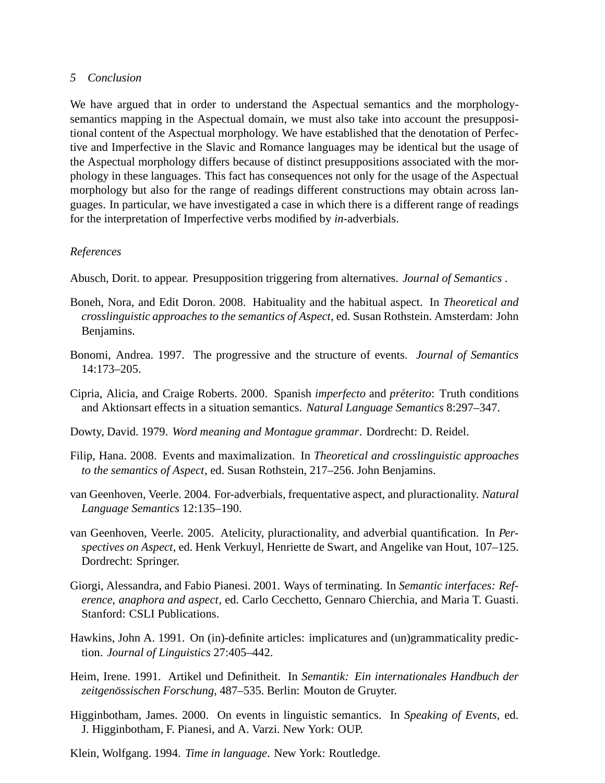#### *5 Conclusion*

We have argued that in order to understand the Aspectual semantics and the morphologysemantics mapping in the Aspectual domain, we must also take into account the presuppositional content of the Aspectual morphology. We have established that the denotation of Perfective and Imperfective in the Slavic and Romance languages may be identical but the usage of the Aspectual morphology differs because of distinct presuppositions associated with the morphology in these languages. This fact has consequences not only for the usage of the Aspectual morphology but also for the range of readings different constructions may obtain across languages. In particular, we have investigated a case in which there is a different range of readings for the interpretation of Imperfective verbs modified by *in*-adverbials.

### *References*

Abusch, Dorit. to appear. Presupposition triggering from alternatives. *Journal of Semantics* .

- Boneh, Nora, and Edit Doron. 2008. Habituality and the habitual aspect. In *Theoretical and crosslinguistic approaches to the semantics of Aspect*, ed. Susan Rothstein. Amsterdam: John Benjamins.
- Bonomi, Andrea. 1997. The progressive and the structure of events. *Journal of Semantics* 14:173–205.
- Cipria, Alicia, and Craige Roberts. 2000. Spanish *imperfecto* and *preterito ´* : Truth conditions and Aktionsart effects in a situation semantics. *Natural Language Semantics* 8:297–347.
- Dowty, David. 1979. *Word meaning and Montague grammar*. Dordrecht: D. Reidel.
- Filip, Hana. 2008. Events and maximalization. In *Theoretical and crosslinguistic approaches to the semantics of Aspect*, ed. Susan Rothstein, 217–256. John Benjamins.
- van Geenhoven, Veerle. 2004. For-adverbials, frequentative aspect, and pluractionality. *Natural Language Semantics* 12:135–190.
- van Geenhoven, Veerle. 2005. Atelicity, pluractionality, and adverbial quantification. In *Perspectives on Aspect*, ed. Henk Verkuyl, Henriette de Swart, and Angelike van Hout, 107–125. Dordrecht: Springer.
- Giorgi, Alessandra, and Fabio Pianesi. 2001. Ways of terminating. In *Semantic interfaces: Reference, anaphora and aspect*, ed. Carlo Cecchetto, Gennaro Chierchia, and Maria T. Guasti. Stanford: CSLI Publications.
- Hawkins, John A. 1991. On (in)-definite articles: implicatures and (un)grammaticality prediction. *Journal of Linguistics* 27:405–442.
- Heim, Irene. 1991. Artikel und Definitheit. In *Semantik: Ein internationales Handbuch der* zeitgenössischen Forschung, 487–535. Berlin: Mouton de Gruyter.
- Higginbotham, James. 2000. On events in linguistic semantics. In *Speaking of Events*, ed. J. Higginbotham, F. Pianesi, and A. Varzi. New York: OUP.
- Klein, Wolfgang. 1994. *Time in language*. New York: Routledge.